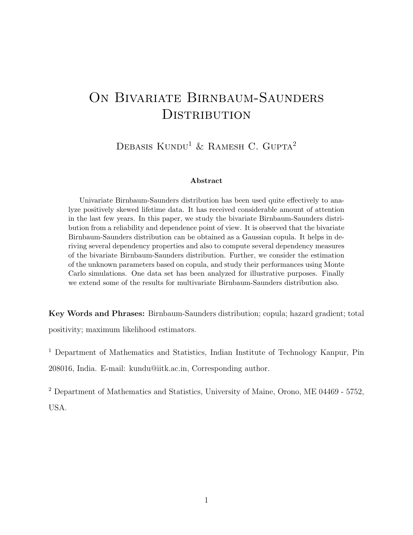# ON BIVARIATE BIRNBAUM-SAUNDERS **DISTRIBUTION**

DEBASIS KUNDU<sup>1</sup> & RAMESH C. GUPTA<sup>2</sup>

#### Abstract

Univariate Birnbaum-Saunders distribution has been used quite effectively to analyze positively skewed lifetime data. It has received considerable amount of attention in the last few years. In this paper, we study the bivariate Birnbaum-Saunders distribution from a reliability and dependence point of view. It is observed that the bivariate Birnbaum-Saunders distribution can be obtained as a Gaussian copula. It helps in deriving several dependency properties and also to compute several dependency measures of the bivariate Birnbaum-Saunders distribution. Further, we consider the estimation of the unknown parameters based on copula, and study their performances using Monte Carlo simulations. One data set has been analyzed for illustrative purposes. Finally we extend some of the results for multivariate Birnbaum-Saunders distribution also.

Key Words and Phrases: Birnbaum-Saunders distribution; copula; hazard gradient; total positivity; maximum likelihood estimators.

<sup>1</sup> Department of Mathematics and Statistics, Indian Institute of Technology Kanpur, Pin 208016, India. E-mail: kundu@iitk.ac.in, Corresponding author.

<sup>2</sup> Department of Mathematics and Statistics, University of Maine, Orono, ME 04469 - 5752, USA.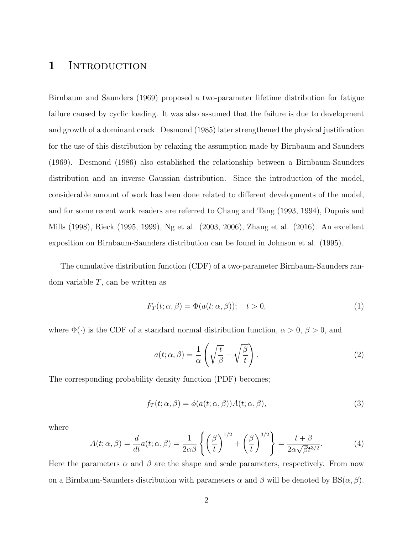### 1 INTRODUCTION

Birnbaum and Saunders (1969) proposed a two-parameter lifetime distribution for fatigue failure caused by cyclic loading. It was also assumed that the failure is due to development and growth of a dominant crack. Desmond (1985) later strengthened the physical justification for the use of this distribution by relaxing the assumption made by Birnbaum and Saunders (1969). Desmond (1986) also established the relationship between a Birnbaum-Saunders distribution and an inverse Gaussian distribution. Since the introduction of the model, considerable amount of work has been done related to different developments of the model, and for some recent work readers are referred to Chang and Tang (1993, 1994), Dupuis and Mills (1998), Rieck (1995, 1999), Ng et al. (2003, 2006), Zhang et al. (2016). An excellent exposition on Birnbaum-Saunders distribution can be found in Johnson et al. (1995).

The cumulative distribution function (CDF) of a two-parameter Birnbaum-Saunders random variable  $T$ , can be written as

$$
F_T(t; \alpha, \beta) = \Phi(a(t; \alpha, \beta)); \quad t > 0,
$$
\n<sup>(1)</sup>

where  $\Phi(\cdot)$  is the CDF of a standard normal distribution function,  $\alpha > 0$ ,  $\beta > 0$ , and

$$
a(t; \alpha, \beta) = \frac{1}{\alpha} \left( \sqrt{\frac{t}{\beta}} - \sqrt{\frac{\beta}{t}} \right).
$$
 (2)

The corresponding probability density function (PDF) becomes;

$$
f_T(t; \alpha, \beta) = \phi(a(t; \alpha, \beta))A(t; \alpha, \beta), \qquad (3)
$$

where

$$
A(t; \alpha, \beta) = \frac{d}{dt} a(t; \alpha, \beta) = \frac{1}{2\alpha\beta} \left\{ \left(\frac{\beta}{t}\right)^{1/2} + \left(\frac{\beta}{t}\right)^{3/2} \right\} = \frac{t + \beta}{2\alpha\sqrt{\beta}t^{3/2}}.
$$
 (4)

Here the parameters  $\alpha$  and  $\beta$  are the shape and scale parameters, respectively. From now on a Birnbaum-Saunders distribution with parameters  $\alpha$  and  $\beta$  will be denoted by  $BS(\alpha, \beta)$ .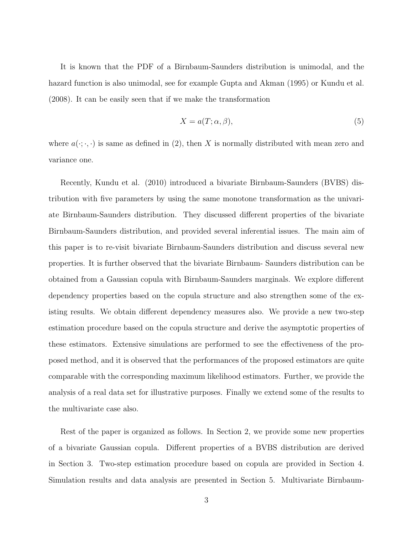It is known that the PDF of a Birnbaum-Saunders distribution is unimodal, and the hazard function is also unimodal, see for example Gupta and Akman (1995) or Kundu et al. (2008). It can be easily seen that if we make the transformation

$$
X = a(T; \alpha, \beta),\tag{5}
$$

where  $a(\cdot; \cdot, \cdot)$  is same as defined in (2), then X is normally distributed with mean zero and variance one.

Recently, Kundu et al. (2010) introduced a bivariate Birnbaum-Saunders (BVBS) distribution with five parameters by using the same monotone transformation as the univariate Birnbaum-Saunders distribution. They discussed different properties of the bivariate Birnbaum-Saunders distribution, and provided several inferential issues. The main aim of this paper is to re-visit bivariate Birnbaum-Saunders distribution and discuss several new properties. It is further observed that the bivariate Birnbaum- Saunders distribution can be obtained from a Gaussian copula with Birnbaum-Saunders marginals. We explore different dependency properties based on the copula structure and also strengthen some of the existing results. We obtain different dependency measures also. We provide a new two-step estimation procedure based on the copula structure and derive the asymptotic properties of these estimators. Extensive simulations are performed to see the effectiveness of the proposed method, and it is observed that the performances of the proposed estimators are quite comparable with the corresponding maximum likelihood estimators. Further, we provide the analysis of a real data set for illustrative purposes. Finally we extend some of the results to the multivariate case also.

Rest of the paper is organized as follows. In Section 2, we provide some new properties of a bivariate Gaussian copula. Different properties of a BVBS distribution are derived in Section 3. Two-step estimation procedure based on copula are provided in Section 4. Simulation results and data analysis are presented in Section 5. Multivariate Birnbaum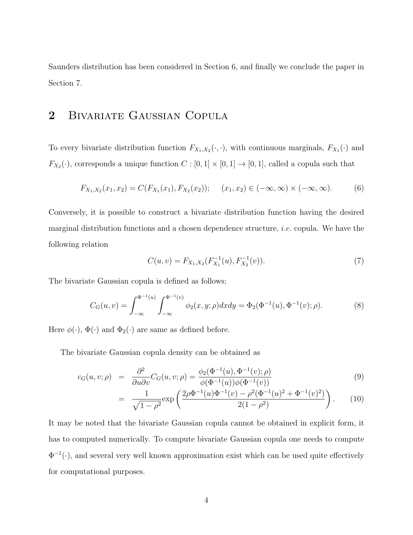Saunders distribution has been considered in Section 6, and finally we conclude the paper in Section 7.

### 2 Bivariate Gaussian Copula

To every bivariate distribution function  $F_{X_1,X_2}(\cdot,\cdot)$ , with continuous marginals,  $F_{X_1}(\cdot)$  and  $F_{X_2}(\cdot)$ , corresponds a unique function  $C : [0,1] \times [0,1] \rightarrow [0,1]$ , called a copula such that

$$
F_{X_1,X_2}(x_1,x_2) = C(F_{X_1}(x_1), F_{X_2}(x_2)); \quad (x_1,x_2) \in (-\infty, \infty) \times (-\infty, \infty). \tag{6}
$$

Conversely, it is possible to construct a bivariate distribution function having the desired marginal distribution functions and a chosen dependence structure, *i.e.* copula. We have the following relation

$$
C(u, v) = F_{X_1, X_2}(F_{X_1}^{-1}(u), F_{X_2}^{-1}(v)).
$$
\n<sup>(7)</sup>

The bivariate Gaussian copula is defined as follows;

$$
C_G(u,v) = \int_{-\infty}^{\Phi^{-1}(u)} \int_{-\infty}^{\Phi^{-1}(v)} \phi_2(x,y;\rho) dx dy = \Phi_2(\Phi^{-1}(u), \Phi^{-1}(v); \rho).
$$
 (8)

Here  $\phi(\cdot)$ ,  $\Phi(\cdot)$  and  $\Phi_2(\cdot)$  are same as defined before.

The bivariate Gaussian copula density can be obtained as

$$
c_G(u, v; \rho) = \frac{\partial^2}{\partial u \partial v} C_G(u, v; \rho) = \frac{\phi_2(\Phi^{-1}(u), \Phi^{-1}(v); \rho)}{\phi(\Phi^{-1}(u))\phi(\Phi^{-1}(v))}
$$
(9)

$$
= \frac{1}{\sqrt{1-\rho^2}} \exp\left(\frac{2\rho\Phi^{-1}(u)\Phi^{-1}(v) - \rho^2(\Phi^{-1}(u)^2 + \Phi^{-1}(v)^2)}{2(1-\rho^2)}\right). \tag{10}
$$

It may be noted that the bivariate Gaussian copula cannot be obtained in explicit form, it has to computed numerically. To compute bivariate Gaussian copula one needs to compute  $\Phi^{-1}(\cdot)$ , and several very well known approximation exist which can be used quite effectively for computational purposes.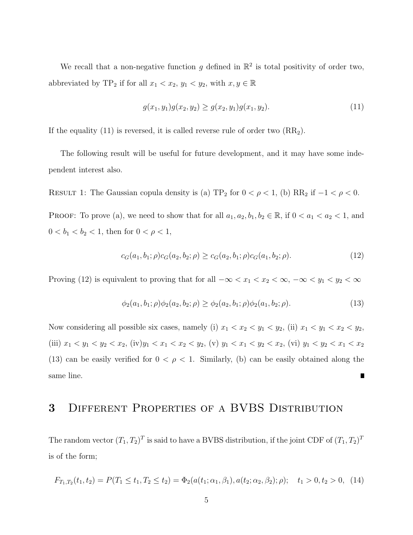We recall that a non-negative function g defined in  $\mathbb{R}^2$  is total positivity of order two, abbreviated by TP<sub>2</sub> if for all  $x_1 < x_2, y_1 < y_2$ , with  $x, y \in \mathbb{R}$ 

$$
g(x_1, y_1)g(x_2, y_2) \ge g(x_2, y_1)g(x_1, y_2). \tag{11}
$$

If the equality (11) is reversed, it is called reverse rule of order two  $(RR_2)$ .

The following result will be useful for future development, and it may have some independent interest also.

RESULT 1: The Gaussian copula density is (a)  $TP_2$  for  $0 < \rho < 1$ , (b) RR<sub>2</sub> if  $-1 < \rho < 0$ .

PROOF: To prove (a), we need to show that for all  $a_1, a_2, b_1, b_2 \in \mathbb{R}$ , if  $0 < a_1 < a_2 < 1$ , and  $0 < b_1 < b_2 < 1$ , then for  $0 < \rho < 1$ ,

$$
c_G(a_1, b_1; \rho)c_G(a_2, b_2; \rho) \ge c_G(a_2, b_1; \rho)c_G(a_1, b_2; \rho). \tag{12}
$$

Proving (12) is equivalent to proving that for all  $-\infty < x_1 < x_2 < \infty$ ,  $-\infty < y_1 < y_2 < \infty$ 

$$
\phi_2(a_1, b_1; \rho)\phi_2(a_2, b_2; \rho) \ge \phi_2(a_2, b_1; \rho)\phi_2(a_1, b_2; \rho). \tag{13}
$$

Now considering all possible six cases, namely (i)  $x_1 < x_2 < y_1 < y_2$ , (ii)  $x_1 < y_1 < x_2 < y_2$ , (iii)  $x_1 < y_1 < y_2 < x_2$ , (iv) $y_1 < x_1 < x_2 < y_2$ , (v)  $y_1 < x_1 < y_2 < x_2$ , (vi)  $y_1 < y_2 < x_1 < x_2$ (13) can be easily verified for  $0 < \rho < 1$ . Similarly, (b) can be easily obtained along the same line. П

### 3 DIFFERENT PROPERTIES OF A BVBS DISTRIBUTION

The random vector  $(T_1, T_2)^T$  is said to have a BVBS distribution, if the joint CDF of  $(T_1, T_2)^T$ is of the form;

$$
F_{T_1,T_2}(t_1,t_2) = P(T_1 \le t_1, T_2 \le t_2) = \Phi_2(a(t_1;\alpha_1,\beta_1), a(t_2;\alpha_2,\beta_2); \rho); \quad t_1 > 0, t_2 > 0, \tag{14}
$$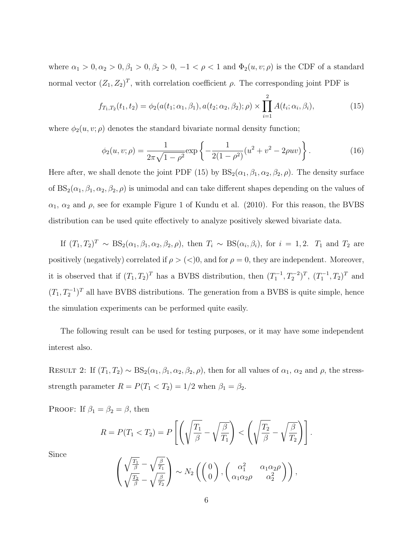where  $\alpha_1 > 0, \alpha_2 > 0, \beta_1 > 0, \beta_2 > 0, -1 < \rho < 1$  and  $\Phi_2(u, v; \rho)$  is the CDF of a standard normal vector  $(Z_1, Z_2)^T$ , with correlation coefficient  $\rho$ . The corresponding joint PDF is

$$
f_{T_1,T_2}(t_1,t_2) = \phi_2(a(t_1;\alpha_1,\beta_1),a(t_2;\alpha_2,\beta_2); \rho) \times \prod_{i=1}^2 A(t_i;\alpha_i,\beta_i), \qquad (15)
$$

where  $\phi_2(u, v; \rho)$  denotes the standard bivariate normal density function;

$$
\phi_2(u, v; \rho) = \frac{1}{2\pi\sqrt{1 - \rho^2}} \exp\left\{-\frac{1}{2(1 - \rho^2)}(u^2 + v^2 - 2\rho uv)\right\}.
$$
 (16)

Here after, we shall denote the joint PDF (15) by  $BS_2(\alpha_1, \beta_1, \alpha_2, \beta_2, \rho)$ . The density surface of  $BS_2(\alpha_1, \beta_1, \alpha_2, \beta_2, \rho)$  is unimodal and can take different shapes depending on the values of  $\alpha_1$ ,  $\alpha_2$  and  $\rho$ , see for example Figure 1 of Kundu et al. (2010). For this reason, the BVBS distribution can be used quite effectively to analyze positively skewed bivariate data.

If  $(T_1, T_2)^T \sim BS_2(\alpha_1, \beta_1, \alpha_2, \beta_2, \rho)$ , then  $T_i \sim BS(\alpha_i, \beta_i)$ , for  $i = 1, 2$ .  $T_1$  and  $T_2$  are positively (negatively) correlated if  $\rho > (<)0$ , and for  $\rho = 0$ , they are independent. Moreover, it is observed that if  $(T_1, T_2)^T$  has a BVBS distribution, then  $(T_1^{-1}, T_2^{-2})^T$ ,  $(T_1^{-1}, T_2)^T$  and  $(T_1, T_2^{-1})^T$  all have BVBS distributions. The generation from a BVBS is quite simple, hence the simulation experiments can be performed quite easily.

The following result can be used for testing purposes, or it may have some independent interest also.

RESULT 2: If  $(T_1, T_2) \sim BS_2(\alpha_1, \beta_1, \alpha_2, \beta_2, \rho)$ , then for all values of  $\alpha_1$ ,  $\alpha_2$  and  $\rho$ , the stressstrength parameter  $R = P(T_1 < T_2) = 1/2$  when  $\beta_1 = \beta_2$ .

PROOF: If  $\beta_1 = \beta_2 = \beta$ , then

$$
R = P(T_1 < T_2) = P\left[\left(\sqrt{\frac{T_1}{\beta}} - \sqrt{\frac{\beta}{T_1}}\right) < \left(\sqrt{\frac{T_2}{\beta}} - \sqrt{\frac{\beta}{T_2}}\right)\right].
$$

Since

$$
\left(\sqrt{\frac{T_1}{\beta}} - \sqrt{\frac{\beta}{T_1}} \over \sqrt{\frac{\beta}{\beta}} - \sqrt{\frac{\beta}{T_2}}}\right) \sim N_2\left(\begin{pmatrix}0\\0\end{pmatrix}, \begin{pmatrix}\alpha_1^2 & \alpha_1\alpha_2\rho \\ \alpha_1\alpha_2\rho & \alpha_2^2\end{pmatrix}\right),
$$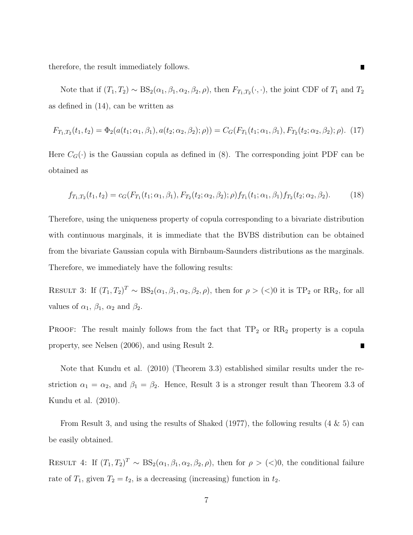therefore, the result immediately follows.

Note that if  $(T_1, T_2) \sim BS_2(\alpha_1, \beta_1, \alpha_2, \beta_2, \rho)$ , then  $F_{T_1, T_2}(\cdot, \cdot)$ , the joint CDF of  $T_1$  and  $T_2$ as defined in (14), can be written as

 $\blacksquare$ 

$$
F_{T_1,T_2}(t_1,t_2) = \Phi_2(a(t_1;\alpha_1,\beta_1),a(t_2;\alpha_2,\beta_2);\rho)) = C_G(F_{T_1}(t_1;\alpha_1,\beta_1),F_{T_2}(t_2;\alpha_2,\beta_2);\rho). \tag{17}
$$

Here  $C_G(\cdot)$  is the Gaussian copula as defined in (8). The corresponding joint PDF can be obtained as

$$
f_{T_1,T_2}(t_1,t_2) = c_G(F_{T_1}(t_1;\alpha_1,\beta_1), F_{T_2}(t_2;\alpha_2,\beta_2); \rho) f_{T_1}(t_1;\alpha_1,\beta_1) f_{T_2}(t_2;\alpha_2,\beta_2). \tag{18}
$$

Therefore, using the uniqueness property of copula corresponding to a bivariate distribution with continuous marginals, it is immediate that the BVBS distribution can be obtained from the bivariate Gaussian copula with Birnbaum-Saunders distributions as the marginals. Therefore, we immediately have the following results:

RESULT 3: If  $(T_1, T_2)^T \sim BS_2(\alpha_1, \beta_1, \alpha_2, \beta_2, \rho)$ , then for  $\rho > (<)0$  it is TP<sub>2</sub> or RR<sub>2</sub>, for all values of  $\alpha_1$ ,  $\beta_1$ ,  $\alpha_2$  and  $\beta_2$ .

**PROOF:** The result mainly follows from the fact that  $TP_2$  or  $RR_2$  property is a copula property, see Nelsen (2006), and using Result 2.

Note that Kundu et al. (2010) (Theorem 3.3) established similar results under the restriction  $\alpha_1 = \alpha_2$ , and  $\beta_1 = \beta_2$ . Hence, Result 3 is a stronger result than Theorem 3.3 of Kundu et al. (2010).

From Result 3, and using the results of Shaked (1977), the following results (4 & 5) can be easily obtained.

RESULT 4: If  $(T_1, T_2)^T \sim BS_2(\alpha_1, \beta_1, \alpha_2, \beta_2, \rho)$ , then for  $\rho > (<0$ , the conditional failure rate of  $T_1$ , given  $T_2 = t_2$ , is a decreasing (increasing) function in  $t_2$ .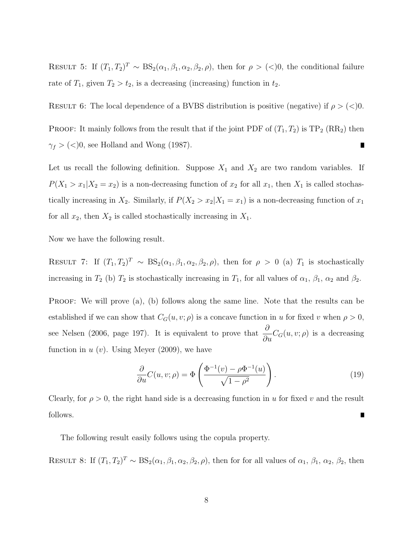RESULT 5: If  $(T_1, T_2)^T \sim BS_2(\alpha_1, \beta_1, \alpha_2, \beta_2, \rho)$ , then for  $\rho > (<0$ , the conditional failure rate of  $T_1$ , given  $T_2 > t_2$ , is a decreasing (increasing) function in  $t_2$ .

RESULT 6: The local dependence of a BVBS distribution is positive (negative) if  $\rho > (<)0$ .

PROOF: It mainly follows from the result that if the joint PDF of  $(T_1, T_2)$  is TP<sub>2</sub> (RR<sub>2</sub>) then  $\gamma_f$  > (<)0, see Holland and Wong (1987).  $\blacksquare$ 

Let us recall the following definition. Suppose  $X_1$  and  $X_2$  are two random variables. If  $P(X_1 > x_1 | X_2 = x_2)$  is a non-decreasing function of  $x_2$  for all  $x_1$ , then  $X_1$  is called stochastically increasing in  $X_2$ . Similarly, if  $P(X_2 > x_2 | X_1 = x_1)$  is a non-decreasing function of  $x_1$ for all  $x_2$ , then  $X_2$  is called stochastically increasing in  $X_1$ .

Now we have the following result.

RESULT 7: If  $(T_1, T_2)^T \sim BS_2(\alpha_1, \beta_1, \alpha_2, \beta_2, \rho)$ , then for  $\rho > 0$  (a)  $T_1$  is stochastically increasing in  $T_2$  (b)  $T_2$  is stochastically increasing in  $T_1$ , for all values of  $\alpha_1$ ,  $\beta_1$ ,  $\alpha_2$  and  $\beta_2$ .

PROOF: We will prove (a), (b) follows along the same line. Note that the results can be established if we can show that  $C_G(u, v; \rho)$  is a concave function in u for fixed v when  $\rho > 0$ , see Nelsen (2006, page 197). It is equivalent to prove that  $\frac{\partial}{\partial \theta}$  $\frac{\partial}{\partial u}C_G(u, v; \rho)$  is a decreasing function in  $u(v)$ . Using Meyer (2009), we have

$$
\frac{\partial}{\partial u}C(u,v;\rho) = \Phi\left(\frac{\Phi^{-1}(v) - \rho\Phi^{-1}(u)}{\sqrt{1 - \rho^2}}\right). \tag{19}
$$

Clearly, for  $\rho > 0$ , the right hand side is a decreasing function in u for fixed v and the result follows.

The following result easily follows using the copula property.

RESULT 8: If  $(T_1, T_2)^T \sim BS_2(\alpha_1, \beta_1, \alpha_2, \beta_2, \rho)$ , then for for all values of  $\alpha_1, \beta_1, \alpha_2, \beta_2$ , then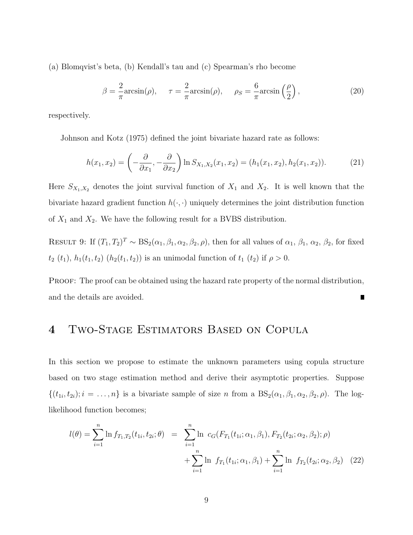(a) Blomqvist's beta, (b) Kendall's tau and (c) Spearman's rho become

$$
\beta = \frac{2}{\pi} \arcsin(\rho), \quad \tau = \frac{2}{\pi} \arcsin(\rho), \quad \rho_S = \frac{6}{\pi} \arcsin\left(\frac{\rho}{2}\right), \tag{20}
$$

respectively.

Johnson and Kotz (1975) defined the joint bivariate hazard rate as follows:

$$
h(x_1, x_2) = \left(-\frac{\partial}{\partial x_1}, -\frac{\partial}{\partial x_2}\right) \ln S_{X_1, X_2}(x_1, x_2) = (h_1(x_1, x_2), h_2(x_1, x_2)).\tag{21}
$$

Here  $S_{X_1,X_2}$  denotes the joint survival function of  $X_1$  and  $X_2$ . It is well known that the bivariate hazard gradient function  $h(\cdot, \cdot)$  uniquely determines the joint distribution function of  $X_1$  and  $X_2$ . We have the following result for a BVBS distribution.

RESULT 9: If  $(T_1, T_2)^T \sim BS_2(\alpha_1, \beta_1, \alpha_2, \beta_2, \rho)$ , then for all values of  $\alpha_1, \beta_1, \alpha_2, \beta_2$ , for fixed  $t_2(t_1)$ ,  $h_1(t_1, t_2)$   $(h_2(t_1, t_2))$  is an unimodal function of  $t_1(t_2)$  if  $\rho > 0$ .

PROOF: The proof can be obtained using the hazard rate property of the normal distribution, and the details are avoided.  $\blacksquare$ 

### 4 Two-Stage Estimators Based on Copula

In this section we propose to estimate the unknown parameters using copula structure based on two stage estimation method and derive their asymptotic properties. Suppose  $\{(t_{1i}, t_{2i}); i = \ldots, n\}$  is a bivariate sample of size n from a  $BS_2(\alpha_1, \beta_1, \alpha_2, \beta_2, \rho)$ . The loglikelihood function becomes;

$$
l(\theta) = \sum_{i=1}^{n} \ln f_{T_1, T_2}(t_{1i}, t_{2i}; \theta) = \sum_{i=1}^{n} \ln c_G(F_{T_1}(t_{1i}; \alpha_1, \beta_1), F_{T_2}(t_{2i}; \alpha_2, \beta_2); \rho) + \sum_{i=1}^{n} \ln f_{T_1}(t_{1i}; \alpha_1, \beta_1) + \sum_{i=1}^{n} \ln f_{T_2}(t_{2i}; \alpha_2, \beta_2)
$$
 (22)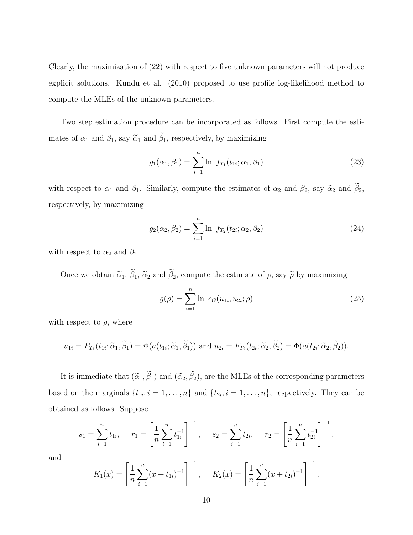Clearly, the maximization of (22) with respect to five unknown parameters will not produce explicit solutions. Kundu et al. (2010) proposed to use profile log-likelihood method to compute the MLEs of the unknown parameters.

Two step estimation procedure can be incorporated as follows. First compute the estimates of  $\alpha_1$  and  $\beta_1$ , say  $\tilde{\alpha}_1$  and  $\tilde{\beta}_1$ , respectively, by maximizing

$$
g_1(\alpha_1, \beta_1) = \sum_{i=1}^n \ln f_{T_1}(t_{1i}; \alpha_1, \beta_1)
$$
 (23)

with respect to  $\alpha_1$  and  $\beta_1$ . Similarly, compute the estimates of  $\alpha_2$  and  $\beta_2$ , say  $\tilde{\alpha}_2$  and  $\tilde{\beta}_2$ , respectively, by maximizing

$$
g_2(\alpha_2, \beta_2) = \sum_{i=1}^n \ln f_{T_2}(t_{2i}; \alpha_2, \beta_2)
$$
 (24)

with respect to  $\alpha_2$  and  $\beta_2$ .

Once we obtain  $\tilde{\alpha}_1$ ,  $\tilde{\beta}_1$ ,  $\tilde{\alpha}_2$  and  $\tilde{\beta}_2$ , compute the estimate of  $\rho$ , say  $\tilde{\rho}$  by maximizing

$$
g(\rho) = \sum_{i=1}^{n} \ln c_G(u_{1i}, u_{2i}; \rho)
$$
 (25)

with respect to  $\rho$ , where

$$
u_{1i} = F_{T_1}(t_{1i}; \widetilde{\alpha}_1, \widetilde{\beta}_1) = \Phi(a(t_{1i}; \widetilde{\alpha}_1, \widetilde{\beta}_1)) \text{ and } u_{2i} = F_{T_2}(t_{2i}; \widetilde{\alpha}_2, \widetilde{\beta}_2) = \Phi(a(t_{2i}; \widetilde{\alpha}_2, \widetilde{\beta}_2)).
$$

It is immediate that  $(\tilde{\alpha}_1, \tilde{\beta}_1)$  and  $(\tilde{\alpha}_2, \tilde{\beta}_2)$ , are the MLEs of the corresponding parameters based on the marginals  $\{t_{1i}; i = 1, \ldots, n\}$  and  $\{t_{2i}; i = 1, \ldots, n\}$ , respectively. They can be obtained as follows. Suppose

$$
s_1 = \sum_{i=1}^n t_{1i}, \quad r_1 = \left[\frac{1}{n}\sum_{i=1}^n t_{1i}^{-1}\right]^{-1}, \quad s_2 = \sum_{i=1}^n t_{2i}, \quad r_2 = \left[\frac{1}{n}\sum_{i=1}^n t_{2i}^{-1}\right]^{-1},
$$

and

$$
K_1(x) = \left[\frac{1}{n}\sum_{i=1}^n (x+t_{1i})^{-1}\right]^{-1}, \quad K_2(x) = \left[\frac{1}{n}\sum_{i=1}^n (x+t_{2i})^{-1}\right]^{-1}.
$$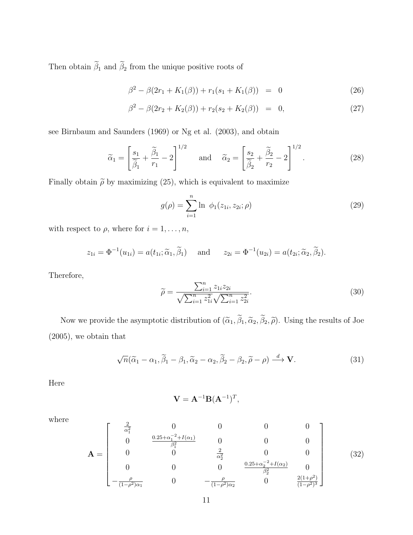Then obtain  $\widetilde{\beta}_1$  and  $\widetilde{\beta}_2$  from the unique positive roots of

$$
\beta^2 - \beta(2r_1 + K_1(\beta)) + r_1(s_1 + K_1(\beta)) = 0 \qquad (26)
$$

$$
\beta^2 - \beta(2r_2 + K_2(\beta)) + r_2(s_2 + K_2(\beta)) = 0, \qquad (27)
$$

see Birnbaum and Saunders (1969) or Ng et al. (2003), and obtain

$$
\widetilde{\alpha}_1 = \left[\frac{s_1}{\widetilde{\beta}_1} + \frac{\widetilde{\beta}_1}{r_1} - 2\right]^{1/2} \quad \text{and} \quad \widetilde{\alpha}_2 = \left[\frac{s_2}{\widetilde{\beta}_2} + \frac{\widetilde{\beta}_2}{r_2} - 2\right]^{1/2}.
$$
 (28)

Finally obtain  $\tilde{\rho}$  by maximizing (25), which is equivalent to maximize

$$
g(\rho) = \sum_{i=1}^{n} \ln \phi_1(z_{1i}, z_{2i}; \rho)
$$
 (29)

with respect to  $\rho$ , where for  $i = 1, \ldots, n$ ,

$$
z_{1i} = \Phi^{-1}(u_{1i}) = a(t_{1i}; \widetilde{\alpha}_1, \widetilde{\beta}_1)
$$
 and  $z_{2i} = \Phi^{-1}(u_{2i}) = a(t_{2i}; \widetilde{\alpha}_2, \widetilde{\beta}_2).$ 

Therefore,

$$
\widetilde{\rho} = \frac{\sum_{i=1}^{n} z_{1i} z_{2i}}{\sqrt{\sum_{i=1}^{n} z_{1i}^2} \sqrt{\sum_{i=1}^{n} z_{2i}^2}}.
$$
\n(30)

Now we provide the asymptotic distribution of  $(\tilde{\alpha}_1, \tilde{\beta}_1, \tilde{\alpha}_2, \tilde{\beta}_2, \tilde{\rho})$ . Using the results of Joe (2005), we obtain that

$$
\sqrt{n}(\widetilde{\alpha}_1 - \alpha_1, \widetilde{\beta}_1 - \beta_1, \widetilde{\alpha}_2 - \alpha_2, \widetilde{\beta}_2 - \beta_2, \widetilde{\rho} - \rho) \stackrel{d}{\longrightarrow} \mathbf{V}.
$$
 (31)

Here

$$
\mathbf{V} = \mathbf{A}^{-1} \mathbf{B} (\mathbf{A}^{-1})^T,
$$

where

$$
\mathbf{A} = \begin{bmatrix} \frac{2}{\alpha_1^2} & 0 & 0 & 0 & 0\\ 0 & \frac{0.25 + \alpha_1^{-2} + I(\alpha_1)}{\beta_1^2} & 0 & 0 & 0\\ 0 & 0 & \frac{2}{\alpha_2^2} & 0 & 0\\ 0 & 0 & 0 & \frac{0.25 + \alpha_2^{-2} + I(\alpha_2)}{\beta_2^2} & 0\\ -\frac{\rho}{(1-\rho^2)\alpha_1} & 0 & -\frac{\rho}{(1-\rho^2)\alpha_2} & 0 & \frac{2(1+\rho^2)}{(1-\rho^2)^3} \end{bmatrix}
$$
(32)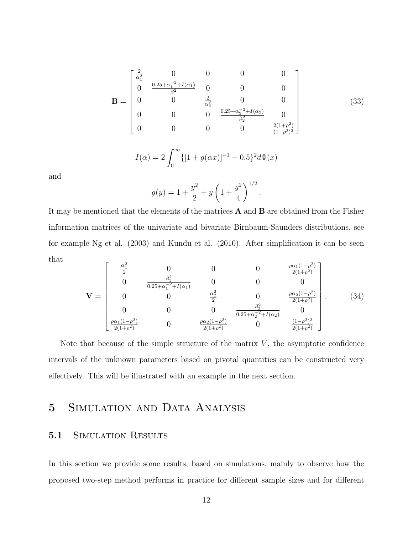$$
\mathbf{B} = \begin{bmatrix} \frac{2}{\alpha_1^2} & 0 & 0 & 0 & 0\\ 0 & \frac{0.25 + \alpha_1^{-2} + I(\alpha_1)}{\beta_1^2} & 0 & 0 & 0\\ 0 & 0 & \frac{2}{\alpha_2^2} & 0 & 0\\ 0 & 0 & 0 & \frac{0.25 + \alpha_2^{-2} + I(\alpha_2)}{\beta_2^2} & 0\\ 0 & 0 & 0 & 0 & \frac{2(1+\rho^2)}{(1-\rho^2)^3} \end{bmatrix}
$$
(33)

$$
I(\alpha) = 2 \int_0^\infty \{ [1 + g(\alpha x)]^{-1} - 0.5 \}^2 d\Phi(x)
$$

and

$$
g(y) = 1 + \frac{y^2}{2} + y \left( 1 + \frac{y^2}{4} \right)^{1/2}.
$$

It may be mentioned that the elements of the matrices A and B are obtained from the Fisher information matrices of the univariate and bivariate Birnbaum-Saunders distributions, see for example Ng et al. (2003) and Kundu et al. (2010). After simplification it can be seen that  $\blacksquare$  $\alpha_1^2$ 

$$
\mathbf{V} = \begin{bmatrix} \frac{\alpha_1^2}{2} & 0 & 0 & 0 & \frac{\rho \alpha_1 (1-\rho^2)}{2(1+\rho^2)}\\ 0 & \frac{\beta_1^2}{0.25 + \alpha_1^{-2} + I(\alpha_1)} & 0 & 0 & 0\\ 0 & 0 & \frac{\alpha_2^2}{2} & 0 & \frac{\rho \alpha_2 (1-\rho^2)}{2(1+\rho^2)}\\ 0 & 0 & 0 & \frac{\beta_2^2}{0.25 + \alpha_2^{-2} + I(\alpha_2)} & 0\\ \frac{\rho \alpha_1 (1-\rho^2)}{2(1+\rho^2)} & 0 & \frac{\rho \alpha_2 (1-\rho^2)}{2(1+\rho^2)} & 0 & \frac{(1-\rho^2)^2}{2(1+\rho^2)} \end{bmatrix}.
$$
 (34)

Note that because of the simple structure of the matrix  $V$ , the asymptotic confidence intervals of the unknown parameters based on pivotal quantities can be constructed very effectively. This will be illustrated with an example in the next section.

## 5 Simulation and Data Analysis

### 5.1 SIMULATION RESULTS

In this section we provide some results, based on simulations, mainly to observe how the proposed two-step method performs in practice for different sample sizes and for different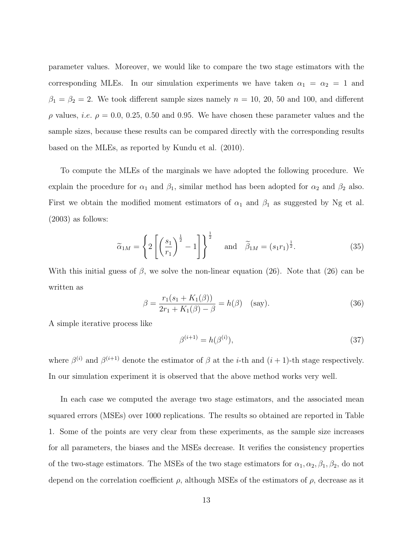parameter values. Moreover, we would like to compare the two stage estimators with the corresponding MLEs. In our simulation experiments we have taken  $\alpha_1 = \alpha_2 = 1$  and  $\beta_1 = \beta_2 = 2$ . We took different sample sizes namely  $n = 10, 20, 50$  and 100, and different  $\rho$  values, *i.e.*  $\rho = 0.0, 0.25, 0.50$  and 0.95. We have chosen these parameter values and the sample sizes, because these results can be compared directly with the corresponding results based on the MLEs, as reported by Kundu et al. (2010).

To compute the MLEs of the marginals we have adopted the following procedure. We explain the procedure for  $\alpha_1$  and  $\beta_1$ , similar method has been adopted for  $\alpha_2$  and  $\beta_2$  also. First we obtain the modified moment estimators of  $\alpha_1$  and  $\beta_1$  as suggested by Ng et al. (2003) as follows:

$$
\widetilde{\alpha}_{1M} = \left\{ 2 \left[ \left( \frac{s_1}{r_1} \right)^{\frac{1}{2}} - 1 \right] \right\}^{\frac{1}{2}} \quad \text{and} \quad \widetilde{\beta}_{1M} = (s_1 r_1)^{\frac{1}{2}}.
$$
 (35)

With this initial guess of  $\beta$ , we solve the non-linear equation (26). Note that (26) can be written as

$$
\beta = \frac{r_1(s_1 + K_1(\beta))}{2r_1 + K_1(\beta) - \beta} = h(\beta) \quad \text{(say)}.
$$
\n(36)

A simple iterative process like

$$
\beta^{(i+1)} = h(\beta^{(i)}),\tag{37}
$$

where  $\beta^{(i)}$  and  $\beta^{(i+1)}$  denote the estimator of  $\beta$  at the *i*-th and  $(i + 1)$ -th stage respectively. In our simulation experiment it is observed that the above method works very well.

In each case we computed the average two stage estimators, and the associated mean squared errors (MSEs) over 1000 replications. The results so obtained are reported in Table 1. Some of the points are very clear from these experiments, as the sample size increases for all parameters, the biases and the MSEs decrease. It verifies the consistency properties of the two-stage estimators. The MSEs of the two stage estimators for  $\alpha_1, \alpha_2, \beta_1, \beta_2$ , do not depend on the correlation coefficient  $\rho$ , although MSEs of the estimators of  $\rho$ , decrease as it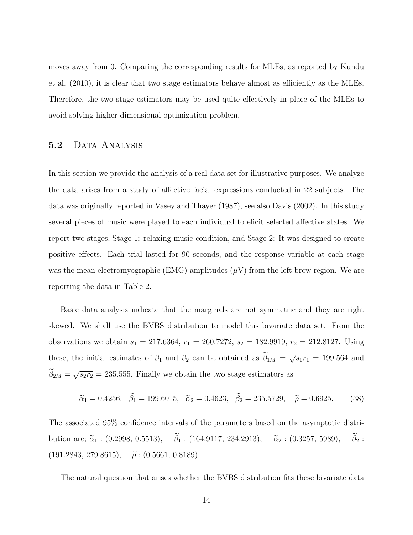moves away from 0. Comparing the corresponding results for MLEs, as reported by Kundu et al. (2010), it is clear that two stage estimators behave almost as efficiently as the MLEs. Therefore, the two stage estimators may be used quite effectively in place of the MLEs to avoid solving higher dimensional optimization problem.

#### 5.2 DATA ANALYSIS

In this section we provide the analysis of a real data set for illustrative purposes. We analyze the data arises from a study of affective facial expressions conducted in 22 subjects. The data was originally reported in Vasey and Thayer (1987), see also Davis (2002). In this study several pieces of music were played to each individual to elicit selected affective states. We report two stages, Stage 1: relaxing music condition, and Stage 2: It was designed to create positive effects. Each trial lasted for 90 seconds, and the response variable at each stage was the mean electromyographic (EMG) amplitudes  $(\mu V)$  from the left brow region. We are reporting the data in Table 2.

Basic data analysis indicate that the marginals are not symmetric and they are right skewed. We shall use the BVBS distribution to model this bivariate data set. From the observations we obtain  $s_1 = 217.6364$ ,  $r_1 = 260.7272$ ,  $s_2 = 182.9919$ ,  $r_2 = 212.8127$ . Using these, the initial estimates of  $\beta_1$  and  $\beta_2$  can be obtained as  $\tilde{\beta}_{1M} = \sqrt{s_1 r_1} = 199.564$  and  $\widetilde{\beta}_{2M} = \sqrt{s_2 r_2} = 235.555$ . Finally we obtain the two stage estimators as

$$
\tilde{\alpha}_1 = 0.4256, \quad \tilde{\beta}_1 = 199.6015, \quad \tilde{\alpha}_2 = 0.4623, \quad \tilde{\beta}_2 = 235.5729, \quad \tilde{\rho} = 0.6925.
$$
 (38)

The associated 95% confidence intervals of the parameters based on the asymptotic distribution are;  $\tilde{\alpha}_1$  : (0.2998, 0.5513),  $\tilde{\beta}_1$  : (164.9117, 234.2913),  $\tilde{\alpha}_2$  : (0.3257, 5989),  $\tilde{\beta}_2$  :  $(191.2843, 279.8615), \quad \tilde{\rho} : (0.5661, 0.8189).$ 

The natural question that arises whether the BVBS distribution fits these bivariate data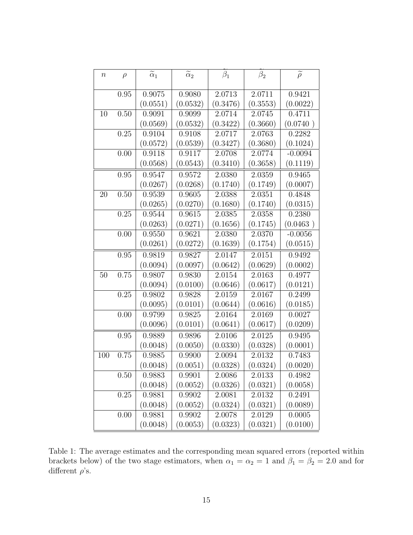| $\, n$ | $\rho$ | $\widetilde{\alpha}_1$ | $\widetilde{\alpha}_2$ | $\beta_1$ | $\beta_2$ | $\widetilde{\rho}$ |  |
|--------|--------|------------------------|------------------------|-----------|-----------|--------------------|--|
|        |        |                        |                        |           |           |                    |  |
|        | 0.95   | 0.9075                 | 0.9080                 | 2.0713    | 2.0711    | 0.9421             |  |
|        |        | (0.0551)               | (0.0532)               | (0.3476)  | (0.3553)  | (0.0022)           |  |
| 10     | 0.50   | 0.9091                 | 0.9099                 | 2.0714    | 2.0745    | 0.4711             |  |
|        |        | (0.0569)               | (0.0532)               | (0.3422)  | (0.3660)  | (0.0740)           |  |
|        | 0.25   | 0.9104                 | 0.9108                 | 2.0717    | 2.0763    | 0.2282             |  |
|        |        | (0.0572)               | (0.0539)               | (0.3427)  | (0.3680)  | (0.1024)           |  |
|        | 0.00   | 0.9118                 | 0.9117                 | 2.0708    | 2.0774    | $-0.0094$          |  |
|        |        | (0.0568)               | (0.0543)               | (0.3410)  | (0.3658)  | (0.1119)           |  |
|        | 0.95   | 0.9547                 | 0.9572                 | 2.0380    | 2.0359    | 0.9465             |  |
|        |        | (0.0267)               | (0.0268)               | (0.1740)  | (0.1749)  | (0.0007)           |  |
| 20     | 0.50   | 0.9539                 | 0.9605                 | 2.0388    | 2.0351    | 0.4848             |  |
|        |        | (0.0265)               | (0.0270)               | (0.1680)  | (0.1740)  | (0.0315)           |  |
|        | 0.25   | 0.9544                 | 0.9615                 | 2.0385    | 2.0358    | 0.2380             |  |
|        |        | (0.0263)               | (0.0271)               | (0.1656)  | (0.1745)  | (0.0463)           |  |
|        | 0.00   | 0.9550                 | 0.9621                 | 2.0380    | 2.0370    | $-0.0056$          |  |
|        |        | (0.0261)               | (0.0272)               | (0.1639)  | (0.1754)  | (0.0515)           |  |
|        | 0.95   | 0.9819                 | 0.9827                 | 2.0147    | 2.0151    | 0.9492             |  |
|        |        | (0.0094)               | (0.0097)               | (0.0642)  | (0.0629)  | (0.0002)           |  |
| 50     | 0.75   | 0.9807                 | 0.9830                 | 2.0154    | 2.0163    | 0.4977             |  |
|        |        | (0.0094)               | (0.0100)               | (0.0646)  | (0.0617)  | (0.0121)           |  |
|        | 0.25   | 0.9802                 | 0.9828                 | 2.0159    | 2.0167    | 0.2499             |  |
|        |        | (0.0095)               | (0.0101)               | (0.0644)  | (0.0616)  | (0.0185)           |  |
|        | 0.00   | 0.9799                 | 0.9825                 | 2.0164    | 2.0169    | 0.0027             |  |
|        |        | (0.0096)               | (0.0101)               | (0.0641)  | (0.0617)  | (0.0209)           |  |
|        | 0.95   | 0.9889                 | 0.9896                 | 2.0106    | 2.0125    | 0.9495             |  |
|        |        | (0.0048)               | (0.0050)               | (0.0330)  | (0.0328)  | (0.0001)           |  |
| 100    | 0.75   | 0.9885                 | 0.9900                 | 2.0094    | 2.0132    | 0.7483             |  |
|        |        | (0.0048)               | (0.0051)               | (0.0328)  | (0.0324)  | (0.0020)           |  |
|        | 0.50   | 0.9883                 | 0.9901                 | 2.0086    | 2.0133    | 0.4982             |  |
|        |        | (0.0048)               | (0.0052)               | (0.0326)  | (0.0321)  | (0.0058)           |  |
|        | 0.25   | 0.9881                 | 0.9902                 | 2.0081    | 2.0132    | 0.2491             |  |
|        |        | (0.0048)               | (0.0052)               | (0.0324)  | (0.0321)  | (0.0089)           |  |
|        | 0.00   | 0.9881                 | 0.9902                 | 2.0078    | 2.0129    | 0.0005             |  |
|        |        | (0.0048)               | (0.0053)               | (0.0323)  | (0.0321)  | (0.0100)           |  |

Table 1: The average estimates and the corresponding mean squared errors (reported within brackets below) of the two stage estimators, when  $\alpha_1 = \alpha_2 = 1$  and  $\beta_1 = \beta_2 = 2.0$  and for different  $\rho$ 's.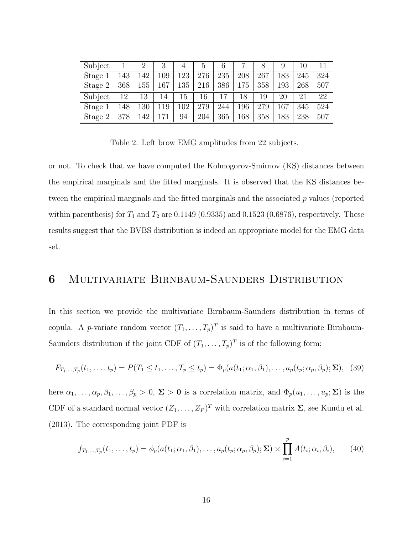| Subject           |     |     | 3   | 4   |     | b   |     |     | 9   | 10  |     |
|-------------------|-----|-----|-----|-----|-----|-----|-----|-----|-----|-----|-----|
| Stage 1           | 143 | 42  | 109 | 123 | 276 | 235 | 208 | 267 | 183 | 245 | 324 |
| Stage 2           | 368 | 155 | 167 | 135 | 216 | 386 | 175 | 358 | 193 | 268 | 507 |
| Subject           | 12  | 13  | 14  | 15  | 16  |     | 18  | 19  | 20  | 21  | 22  |
| Stage <sup></sup> | 148 | 130 | 119 | 102 | 279 | 244 | 196 | 279 | 167 | 345 | 524 |
| Stage 2           |     | .42 |     | 94  | 204 | 365 | 168 | 358 | 183 | 238 | 507 |

Table 2: Left brow EMG amplitudes from 22 subjects.

or not. To check that we have computed the Kolmogorov-Smirnov (KS) distances between the empirical marginals and the fitted marginals. It is observed that the KS distances between the empirical marginals and the fitted marginals and the associated p values (reported within parenthesis) for  $T_1$  and  $T_2$  are 0.1149 (0.9335) and 0.1523 (0.6876), respectively. These results suggest that the BVBS distribution is indeed an appropriate model for the EMG data set.

### 6 Multivariate Birnbaum-Saunders Distribution

In this section we provide the multivariate Birnbaum-Saunders distribution in terms of copula. A *p*-variate random vector  $(T_1, \ldots, T_p)^T$  is said to have a multivariate Birnbaum-Saunders distribution if the joint CDF of  $(T_1, \ldots, T_p)^T$  is of the following form;

$$
F_{T_1,...,T_p}(t_1,...,t_p) = P(T_1 \le t_1,...,T_p \le t_p) = \Phi_p(a(t_1;\alpha_1,\beta_1),...,a_p(t_p;\alpha_p,\beta_p); \Sigma),
$$
 (39)

here  $\alpha_1, \ldots, \alpha_p, \beta_1, \ldots, \beta_p > 0$ ,  $\Sigma > 0$  is a correlation matrix, and  $\Phi_p(u_1, \ldots, u_p; \Sigma)$  is the CDF of a standard normal vector  $(Z_1, \ldots, Z_p)^T$  with correlation matrix  $\Sigma$ , see Kundu et al. (2013). The corresponding joint PDF is

$$
f_{T_1,\ldots,T_p}(t_1,\ldots,t_p) = \phi_p(a(t_1;\alpha_1,\beta_1),\ldots,a_p(t_p;\alpha_p,\beta_p); \Sigma) \times \prod_{i=1}^p A(t_i;\alpha_i,\beta_i), \qquad (40)
$$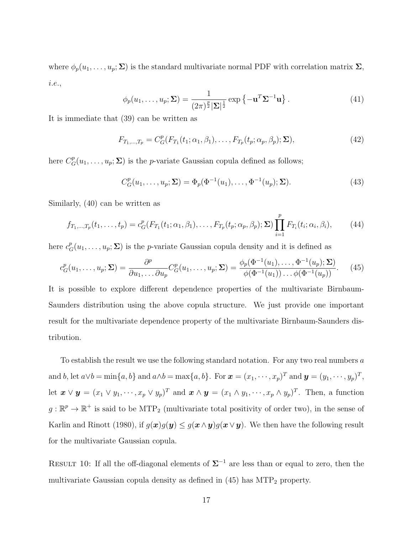where  $\phi_p(u_1, \ldots, u_p; \Sigma)$  is the standard multivariate normal PDF with correlation matrix  $\Sigma$ , i.e.,

$$
\phi_p(u_1,\ldots,u_p;\Sigma) = \frac{1}{(2\pi)^{\frac{p}{2}}|\Sigma|^{\frac{1}{2}}} \exp\left\{-\mathbf{u}^T\Sigma^{-1}\mathbf{u}\right\}.
$$
 (41)

It is immediate that (39) can be written as

$$
F_{T_1,...,T_p} = C_G^p(F_{T_1}(t_1; \alpha_1, \beta_1), \dots, F_{T_p}(t_p; \alpha_p, \beta_p); \Sigma),
$$
\n(42)

here  $C_G^p(u_1, \ldots, u_p; \Sigma)$  is the *p*-variate Gaussian copula defined as follows;

$$
C_G^p(u_1,\ldots,u_p;\Sigma) = \Phi_p(\Phi^{-1}(u_1),\ldots,\Phi^{-1}(u_p);\Sigma). \tag{43}
$$

Similarly, (40) can be written as

$$
f_{T_1,...,T_p}(t_1,...,t_p) = c_G^p(F_{T_1}(t_1;\alpha_1,\beta_1),...,F_{T_p}(t_p;\alpha_p,\beta_p); \Sigma) \prod_{i=1}^p F_{T_i}(t_i;\alpha_i,\beta_i),
$$
 (44)

here  $c_G^p(u_1, \ldots, u_p; \Sigma)$  is the *p*-variate Gaussian copula density and it is defined as

$$
c_G^p(u_1,\ldots,u_p;\Sigma) = \frac{\partial^p}{\partial u_1,\ldots,\partial u_p} C_G^p(u_1,\ldots,u_p;\Sigma) = \frac{\phi_p(\Phi^{-1}(u_1),\ldots,\Phi^{-1}(u_p);\Sigma)}{\phi(\Phi^{-1}(u_1))\ldots\phi(\Phi^{-1}(u_p))}.
$$
 (45)

It is possible to explore different dependence properties of the multivariate Birnbaum-Saunders distribution using the above copula structure. We just provide one important result for the multivariate dependence property of the multivariate Birnbaum-Saunders distribution.

To establish the result we use the following standard notation. For any two real numbers  $a$ and b, let  $a \vee b = \min\{a, b\}$  and  $a \wedge b = \max\{a, b\}$ . For  $\boldsymbol{x} = (x_1, \dots, x_p)^T$  and  $\boldsymbol{y} = (y_1, \dots, y_p)^T$ , let  $\boldsymbol{x} \vee \boldsymbol{y} = (x_1 \vee y_1, \dots, x_p \vee y_p)^T$  and  $\boldsymbol{x} \wedge \boldsymbol{y} = (x_1 \wedge y_1, \dots, x_p \wedge y_p)^T$ . Then, a function  $g: \mathbb{R}^p \to \mathbb{R}^+$  is said to be MTP<sub>2</sub> (multivariate total positivity of order two), in the sense of Karlin and Rinott (1980), if  $g(x)g(y) \leq g(x \wedge y)g(x \vee y)$ . We then have the following result for the multivariate Gaussian copula.

RESULT 10: If all the off-diagonal elements of  $\Sigma^{-1}$  are less than or equal to zero, then the multivariate Gaussian copula density as defined in  $(45)$  has  $MTP<sub>2</sub>$  property.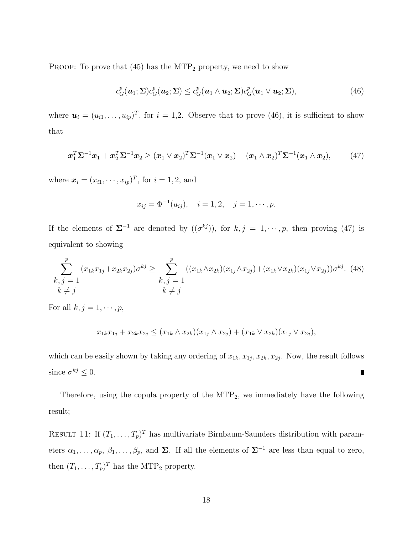PROOF: To prove that  $(45)$  has the MTP<sub>2</sub> property, we need to show

$$
c_G^p(\boldsymbol{u}_1;\boldsymbol{\Sigma})c_G^p(\boldsymbol{u}_2;\boldsymbol{\Sigma}) \leq c_G^p(\boldsymbol{u}_1 \wedge \boldsymbol{u}_2;\boldsymbol{\Sigma})c_G^p(\boldsymbol{u}_1 \vee \boldsymbol{u}_2;\boldsymbol{\Sigma}),
$$
\n(46)

where  $u_i = (u_{i1}, \ldots, u_{ip})^T$ , for  $i = 1,2$ . Observe that to prove (46), it is sufficient to show that

$$
\boldsymbol{x}_1^T \boldsymbol{\Sigma}^{-1} \boldsymbol{x}_1 + \boldsymbol{x}_2^T \boldsymbol{\Sigma}^{-1} \boldsymbol{x}_2 \geq (\boldsymbol{x}_1 \vee \boldsymbol{x}_2)^T \boldsymbol{\Sigma}^{-1} (\boldsymbol{x}_1 \vee \boldsymbol{x}_2) + (\boldsymbol{x}_1 \wedge \boldsymbol{x}_2)^T \boldsymbol{\Sigma}^{-1} (\boldsymbol{x}_1 \wedge \boldsymbol{x}_2), \qquad (47)
$$

where  $\boldsymbol{x}_i = (x_{i1}, \dots, x_{ip})^T$ , for  $i = 1, 2$ , and

$$
x_{ij} = \Phi^{-1}(u_{ij}), \quad i = 1, 2, \quad j = 1, \cdots, p.
$$

If the elements of  $\Sigma^{-1}$  are denoted by  $((\sigma^{kj}))$ , for  $k, j = 1, \dots, p$ , then proving (47) is equivalent to showing

$$
\sum_{\substack{k,j=1 \ k \neq j}}^{p} (x_{1k}x_{1j} + x_{2k}x_{2j})\sigma^{kj} \ge \sum_{\substack{k,j=1 \ k \neq j}}^{p} ((x_{1k} \wedge x_{2k})(x_{1j} \wedge x_{2j}) + (x_{1k} \vee x_{2k})(x_{1j} \vee x_{2j}))\sigma^{kj}.
$$
 (48)

For all  $k, j = 1, \cdots, p$ ,

$$
x_{1k}x_{1j} + x_{2k}x_{2j} \le (x_{1k} \wedge x_{2k})(x_{1j} \wedge x_{2j}) + (x_{1k} \vee x_{2k})(x_{1j} \vee x_{2j}),
$$

which can be easily shown by taking any ordering of  $x_{1k}, x_{1j}, x_{2k}, x_{2j}$ . Now, the result follows since  $\sigma^{kj} \leq 0$ . П

Therefore, using the copula property of the MTP2, we immediately have the following result;

RESULT 11: If  $(T_1, \ldots, T_p)^T$  has multivariate Birnbaum-Saunders distribution with parameters  $\alpha_1, \ldots, \alpha_p, \beta_1, \ldots, \beta_p$ , and  $\Sigma$ . If all the elements of  $\Sigma^{-1}$  are less than equal to zero, then  $(T_1, \ldots, T_p)^T$  has the MTP<sub>2</sub> property.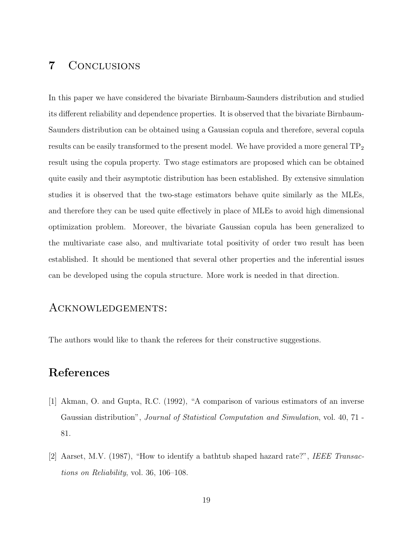### 7 Conclusions

In this paper we have considered the bivariate Birnbaum-Saunders distribution and studied its different reliability and dependence properties. It is observed that the bivariate Birnbaum-Saunders distribution can be obtained using a Gaussian copula and therefore, several copula results can be easily transformed to the present model. We have provided a more general TP<sub>2</sub> result using the copula property. Two stage estimators are proposed which can be obtained quite easily and their asymptotic distribution has been established. By extensive simulation studies it is observed that the two-stage estimators behave quite similarly as the MLEs, and therefore they can be used quite effectively in place of MLEs to avoid high dimensional optimization problem. Moreover, the bivariate Gaussian copula has been generalized to the multivariate case also, and multivariate total positivity of order two result has been established. It should be mentioned that several other properties and the inferential issues can be developed using the copula structure. More work is needed in that direction.

### Acknowledgements:

The authors would like to thank the referees for their constructive suggestions.

### References

- [1] Akman, O. and Gupta, R.C. (1992), "A comparison of various estimators of an inverse Gaussian distribution", Journal of Statistical Computation and Simulation, vol. 40, 71 - 81.
- [2] Aarset, M.V. (1987), "How to identify a bathtub shaped hazard rate?", IEEE Transactions on Reliability, vol. 36, 106–108.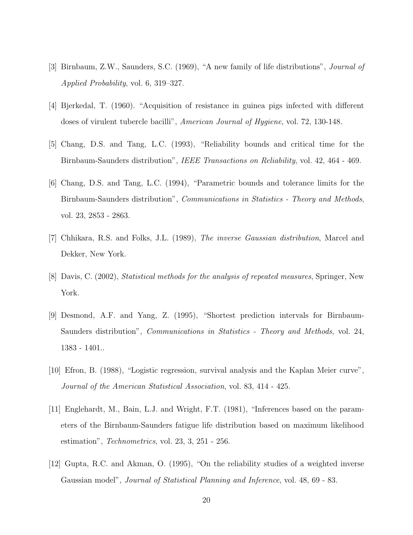- [3] Birnbaum, Z.W., Saunders, S.C. (1969), "A new family of life distributions", Journal of Applied Probability, vol. 6, 319–327.
- [4] Bjerkedal, T. (1960). "Acquisition of resistance in guinea pigs infected with different doses of virulent tubercle bacilli", American Journal of Hygiene, vol. 72, 130-148.
- [5] Chang, D.S. and Tang, L.C. (1993), "Reliability bounds and critical time for the Birnbaum-Saunders distribution", IEEE Transactions on Reliability, vol. 42, 464 - 469.
- [6] Chang, D.S. and Tang, L.C. (1994), "Parametric bounds and tolerance limits for the Birnbaum-Saunders distribution", Communications in Statistics - Theory and Methods, vol. 23, 2853 - 2863.
- [7] Chhikara, R.S. and Folks, J.L. (1989), The inverse Gaussian distribution, Marcel and Dekker, New York.
- [8] Davis, C. (2002), Statistical methods for the analysis of repeated measures, Springer, New York.
- [9] Desmond, A.F. and Yang, Z. (1995), "Shortest prediction intervals for Birnbaum-Saunders distribution", Communications in Statistics - Theory and Methods, vol. 24, 1383 - 1401..
- [10] Efron, B. (1988), "Logistic regression, survival analysis and the Kaplan Meier curve", Journal of the American Statistical Association, vol. 83, 414 - 425.
- [11] Englehardt, M., Bain, L.J. and Wright, F.T. (1981), "Inferences based on the parameters of the Birnbaum-Saunders fatigue life distribution based on maximum likelihood estimation", Technometrics, vol. 23, 3, 251 - 256.
- [12] Gupta, R.C. and Akman, O. (1995), "On the reliability studies of a weighted inverse Gaussian model", Journal of Statistical Planning and Inference, vol. 48, 69 - 83.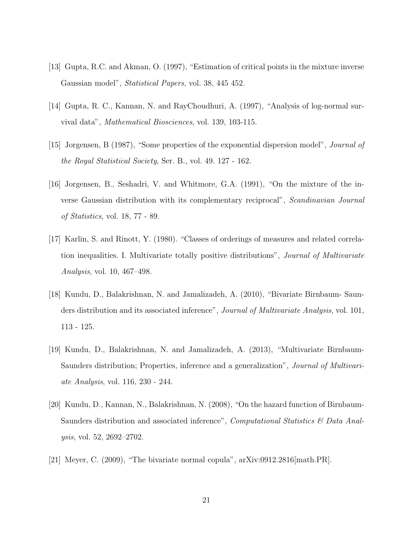- [13] Gupta, R.C. and Akman, O. (1997), "Estimation of critical points in the mixture inverse Gaussian model", Statistical Papers, vol. 38, 445 452.
- [14] Gupta, R. C., Kannan, N. and RayChoudhuri, A. (1997), "Analysis of log-normal survival data", Mathematical Biosciences, vol. 139, 103-115.
- [15] Jorgensen, B (1987), "Some properties of the exponential dispersion model", Journal of the Royal Statistical Society, Ser. B., vol. 49. 127 - 162.
- [16] Jorgensen, B., Seshadri, V. and Whitmore, G.A. (1991), "On the mixture of the inverse Gaussian distribution with its complementary reciprocal", Scandinavian Journal of Statistics, vol. 18, 77 - 89.
- [17] Karlin, S. and Rinott, Y. (1980). "Classes of orderings of measures and related correlation inequalities. I. Multivariate totally positive distributions", Journal of Multivariate Analysis, vol. 10, 467–498.
- [18] Kundu, D., Balakrishnan, N. and Jamalizadeh, A. (2010), "Bivariate Birnbaum- Saunders distribution and its associated inference", *Journal of Multivariate Analysis*, vol. 101, 113 - 125.
- [19] Kundu, D., Balakrishnan, N. and Jamalizadeh, A. (2013), "Multivariate Birnbaum-Saunders distribution; Properties, inference and a generalization", *Journal of Multivari*ate Analysis, vol. 116, 230 - 244.
- [20] Kundu, D., Kannan, N., Balakrishnan, N. (2008), "On the hazard function of Birnbaum-Saunders distribution and associated inference", *Computational Statistics*  $\mathcal{C}$  Data Analysis, vol. 52, 2692–2702.
- [21] Meyer, C. (2009), "The bivariate normal copula", arXiv:0912.2816[math.PR].